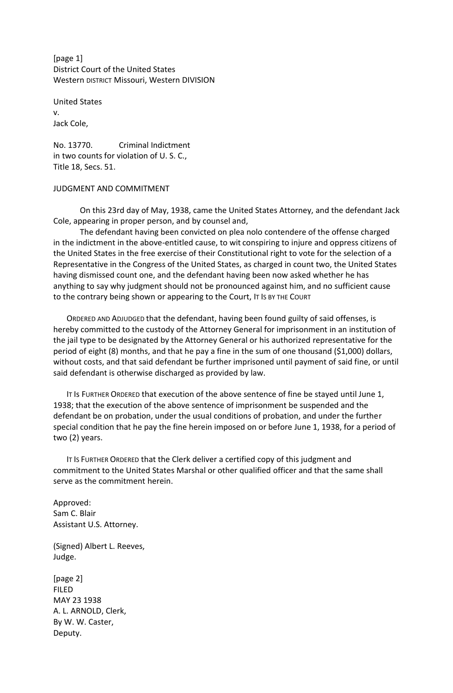[page 1] District Court of the United States Western DISTRICT Missouri, Western DIVISION

United States v. Jack Cole,

No. 13770. Criminal Indictment in two counts for violation of U. S. C., Title 18, Secs. 51.

## JUDGMENT AND COMMITMENT

On this 23rd day of May, 1938, came the United States Attorney, and the defendant Jack Cole, appearing in proper person, and by counsel and,

The defendant having been convicted on plea nolo contendere of the offense charged in the indictment in the above-entitled cause, to wit conspiring to injure and oppress citizens of the United States in the free exercise of their Constitutional right to vote for the selection of a Representative in the Congress of the United States, as charged in count two, the United States having dismissed count one, and the defendant having been now asked whether he has anything to say why judgment should not be pronounced against him, and no sufficient cause to the contrary being shown or appearing to the Court, IT IS BY THE COURT

ORDERED AND ADJUDGED that the defendant, having been found guilty of said offenses, is hereby committed to the custody of the Attorney General for imprisonment in an institution of the jail type to be designated by the Attorney General or his authorized representative for the period of eight (8) months, and that he pay a fine in the sum of one thousand (\$1,000) dollars, without costs, and that said defendant be further imprisoned until payment of said fine, or until said defendant is otherwise discharged as provided by law.

IT Is FURTHER ORDERED that execution of the above sentence of fine be stayed until June 1, 1938; that the execution of the above sentence of imprisonment be suspended and the defendant be on probation, under the usual conditions of probation, and under the further special condition that he pay the fine herein imposed on or before June 1, 1938, for a period of two (2) years.

IT IS FURTHER ORDERED that the Clerk deliver a certified copy of this judgment and commitment to the United States Marshal or other qualified officer and that the same shall serve as the commitment herein.

Approved: Sam C. Blair Assistant U.S. Attorney.

(Signed) Albert L. Reeves, Judge.

[page 2] FILED MAY 23 1938 A. L. ARNOLD, Clerk, By W. W. Caster, Deputy.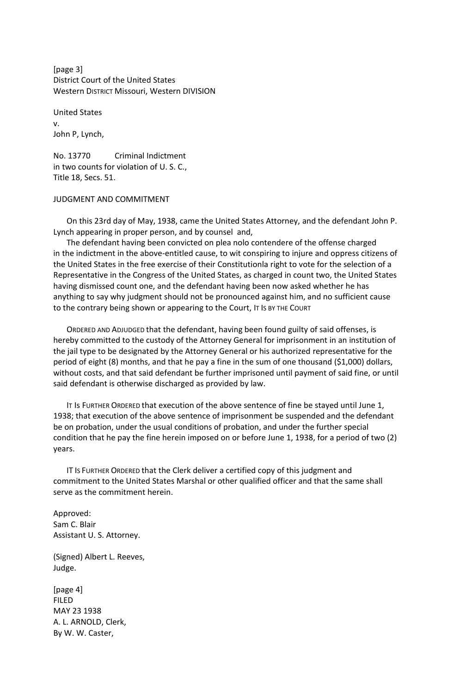[page 3] District Court of the United States Western DISTRICT Missouri, Western DIVISION

United States v. John P, Lynch,

No. 13770 Criminal Indictment in two counts for violation of U. S. C., Title 18, Secs. 51.

## JUDGMENT AND COMMITMENT

On this 23rd day of May, 1938, came the United States Attorney, and the defendant John P. Lynch appearing in proper person, and by counsel and,

The defendant having been convicted on plea nolo contendere of the offense charged in the indictment in the above-entitled cause, to wit conspiring to injure and oppress citizens of the United States in the free exercise of their Constitutionla right to vote for the selection of a Representative in the Congress of the United States, as charged in count two, the United States having dismissed count one, and the defendant having been now asked whether he has anything to say why judgment should not be pronounced against him, and no sufficient cause to the contrary being shown or appearing to the Court, IT IS BY THE COURT

ORDERED AND ADJUDGED that the defendant, having been found guilty of said offenses, is hereby committed to the custody of the Attorney General for imprisonment in an institution of the jail type to be designated by the Attorney General or his authorized representative for the period of eight (8) months, and that he pay a fine in the sum of one thousand (\$1,000) dollars, without costs, and that said defendant be further imprisoned until payment of said fine, or until said defendant is otherwise discharged as provided by law.

IT Is FURTHER ORDERED that execution of the above sentence of fine be stayed until June 1, 1938; that execution of the above sentence of imprisonment be suspended and the defendant be on probation, under the usual conditions of probation, and under the further special condition that he pay the fine herein imposed on or before June 1, 1938, for a period of two (2) years.

IT IS FURTHER ORDERED that the Clerk deliver a certified copy of this judgment and commitment to the United States Marshal or other qualified officer and that the same shall serve as the commitment herein.

Approved: Sam C. Blair Assistant U. S. Attorney.

(Signed) Albert L. Reeves, Judge.

[page 4] FILED MAY 23 1938 A. L. ARNOLD, Clerk, By W. W. Caster,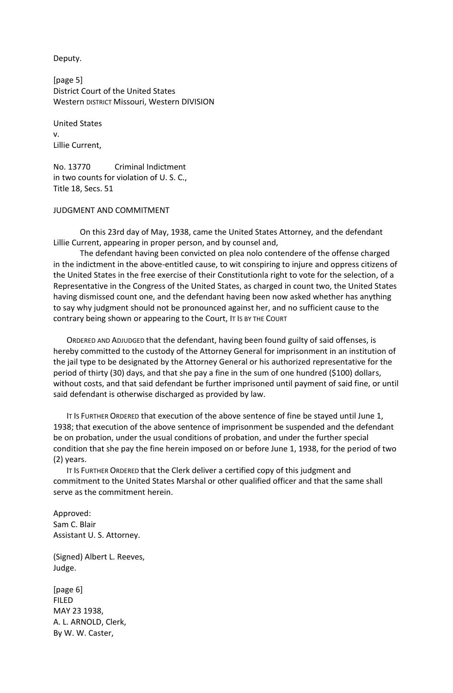Deputy.

[page 5] District Court of the United States Western DISTRICT Missouri, Western DIVISION

United States v. Lillie Current,

No. 13770 Criminal Indictment in two counts for violation of U. S. C., Title 18, Secs. 51

## JUDGMENT AND COMMITMENT

On this 23rd day of May, 1938, came the United States Attorney, and the defendant Lillie Current, appearing in proper person, and by counsel and,

The defendant having been convicted on plea nolo contendere of the offense charged in the indictment in the above-entitled cause, to wit conspiring to injure and oppress citizens of the United States in the free exercise of their Constitutionla right to vote for the selection, of a Representative in the Congress of the United States, as charged in count two, the United States having dismissed count one, and the defendant having been now asked whether has anything to say why judgment should not be pronounced against her, and no sufficient cause to the contrary being shown or appearing to the Court, IT IS BY THE COURT

ORDERED AND ADJUDGED that the defendant, having been found guilty of said offenses, is hereby committed to the custody of the Attorney General for imprisonment in an institution of the jail type to be designated by the Attorney General or his authorized representative for the period of thirty (30) days, and that she pay a fine in the sum of one hundred (\$100) dollars, without costs, and that said defendant be further imprisoned until payment of said fine, or until said defendant is otherwise discharged as provided by law.

IT IS FURTHER ORDERED that execution of the above sentence of fine be stayed until June 1, 1938; that execution of the above sentence of imprisonment be suspended and the defendant be on probation, under the usual conditions of probation, and under the further special condition that she pay the fine herein imposed on or before June 1, 1938, for the period of two (2) years.

IT IS FURTHER ORDERED that the Clerk deliver a certified copy of this judgment and commitment to the United States Marshal or other qualified officer and that the same shall serve as the commitment herein.

Approved: Sam C. Blair Assistant U. S. Attorney.

(Signed) Albert L. Reeves, Judge.

[page 6] FILED MAY 23 1938, A. L. ARNOLD, Clerk, By W. W. Caster,